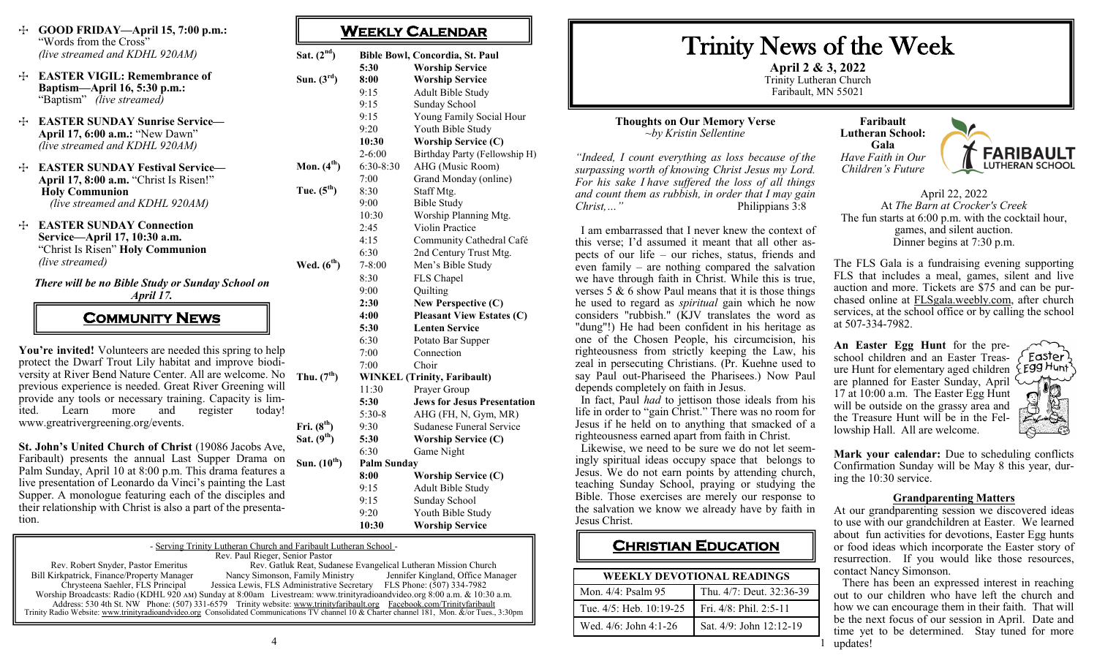- T **GOOD FRIDAY—April 15, 7:00 p.m.:**  "Words from the Cross" *(live streamed and KDHL 920AM)*
- T **EASTER VIGIL: Remembrance of Baptism—April 16, 5:30 p.m.:**  "Baptism" *(live streamed)*
- T **EASTER SUNDAY Sunrise Service— April 17, 6:00 a.m.:** "New Dawn" *(live streamed and KDHL 920AM)*
- T **EASTER SUNDAY Festival Service— April 17, 8:00 a.m.** "Christ Is Risen!" **Holy Communion**   *(live streamed and KDHL 920AM)*
- T **EASTER SUNDAY Connection Service—April 17, 10:30 a.m.**  "Christ Is Risen" **Holy Communion**  *(live streamed)*

*There will be no Bible Study or Sunday School on* 

*April 17.* 

**COMMUNITY NEWS** 

You're invited! Volunteers are needed this spring to help protect the Dwarf Trout Lily habitat and improve biodiversity at River Bend Nature Center. All are welcome. No  $_{\text{Thu. (7}}$ <sup>th</sup>) previous experience is needed. Great River Greening will provide any tools or necessary training. Capacity is limited. Learn more and register today! www.greatrivergreening.org/events.

**St. John's United Church of Christ** (19086 Jacobs Ave, Faribault) presents the annual Last Supper Drama on Palm Sunday, April 10 at 8:00 p.m. This drama features a live presentation of Leonardo da Vinci's painting the Last Supper. A monologue featuring each of the disciples and their relationship with Christ is also a part of the presentation.

**Sat. (2nd) Bible Bowl, Concordia, St. Paul 5:30 Worship Service Sun. (3rd) 8:00 Worship Service** 9:15 Adult Bible Study 9:15 Sunday School 9:15 Young Family Social Hour 9:20 Youth Bible Study **10:30 Worship Service (C)** 2-6:00 Birthday Party (Fellowship H) **Mon. (4th)** 6:30-8:30 AHG (Music Room) 7:00 Grand Monday (online) **Tue. (5th)** 8:30 Staff Mtg. 9:00 Bible Study 10:30 Worship Planning Mtg. 2:45 Violin Practice 4:15 Community Cathedral Café 6:30 2nd Century Trust Mtg. **Wed. (6th)** 7-8:00 Men's Bible Study 8:30 FLS Chapel 9:00 Quilting **2:30 New Perspective (C) 4:00 Pleasant View Estates (C) 5:30 Lenten Service** 6:30 Potato Bar Supper 7:00 Connection 7:00 Choir **Thu. (7th) WINKEL (Trinity, Faribault)** 11:30 Prayer Group **5:30 Jews for Jesus Presentation** 

**WEEKLY CALENDAR** 

5:30-8 AHG (FH, N, Gym, MR) Fri.  $(8^{th})$  9:30 Sudanese Funeral Service

**Sat. (9th) 5:30 Worship Service (C)** 6:30 Game Night

### **Sun. (10th) Palm Sunday**

**8:00 Worship Service (C)** 9:15 Adult Bible Study 9:15 Sunday School 9:20 Youth Bible Study **10:30 Worship Service** 

| - Serving Trinity Lutheran Church and Faribault Lutheran School -                                                                            |                                                                                                                       |                                   |  |
|----------------------------------------------------------------------------------------------------------------------------------------------|-----------------------------------------------------------------------------------------------------------------------|-----------------------------------|--|
| Rev. Paul Rieger, Senior Pastor                                                                                                              |                                                                                                                       |                                   |  |
| Rev. Robert Snyder, Pastor Emeritus                                                                                                          | Rev. Gatluk Reat, Sudanese Evangelical Lutheran Mission Church                                                        |                                   |  |
| Bill Kirkpatrick, Finance/Property Manager                                                                                                   | Nancy Simonson, Family Ministry                                                                                       | Jennifer Kingland, Office Manager |  |
| Chrysteena Saehler, FLS Principal                                                                                                            | Jessica Lewis, FLS Administrative Secretary FLS Phone: (507) 334-7982                                                 |                                   |  |
| Worship Broadcasts: Radio (KDHL 920 AM) Sunday at 8:00am Livestream: www.trinityradioandvideo.org 8:00 a.m. & 10:30 a.m.                     |                                                                                                                       |                                   |  |
|                                                                                                                                              | Address: 530 4th St. NW Phone: (507) 331-6579 Trinity website: www.trinityfaribault.org Facebook.com/Trinityfaribault |                                   |  |
| Trinity Radio Website: www.trinityradioandvideo.org Consolidated Communications TV channel 10 & Charter channel 181, Mon. &/or Tues., 3:30pm |                                                                                                                       |                                   |  |

# Trinity News of the Week

**April 2 & 3, 2022** Trinity Lutheran Church Faribault, MN 55021

1

### **Thoughts on Our Memory Verse** *~by Kristin Sellentine*

*"Indeed, I count everything as loss because of the surpassing worth of knowing Christ Jesus my Lord. For his sake I have suffered the loss of all things and count them as rubbish, in order that I may gain*  Philippians 3:8

 I am embarrassed that I never knew the context of this verse; I'd assumed it meant that all other aspects of our life – our riches, status, friends and even family – are nothing compared the salvation we have through faith in Christ. While this is true, verses  $5 \& 6$  show Paul means that it is those things he used to regard as *spiritual* gain which he now considers "rubbish." (KJV translates the word as "dung"!) He had been confident in his heritage as one of the Chosen People, his circumcision, his righteousness from strictly keeping the Law, his zeal in persecuting Christians. (Pr. Kuehne used to say Paul out-Phariseed the Pharisees.) Now Paul depends completely on faith in Jesus.

 In fact, Paul *had* to jettison those ideals from his life in order to "gain Christ." There was no room for Jesus if he held on to anything that smacked of a righteousness earned apart from faith in Christ.

 Likewise, we need to be sure we do not let seemingly spiritual ideas occupy space that belongs to Jesus. We do not earn points by attending church, teaching Sunday School, praying or studying the Bible. Those exercises are merely our response to the salvation we know we already have by faith in Jesus Christ.

## **CHRISTIAN EDUCATION**

| <b>WEEKLY DEVOTIONAL READINGS</b> |                          |  |
|-----------------------------------|--------------------------|--|
| Mon. 4/4: Psalm 95                | Thu. 4/7: Deut. 32:36-39 |  |
| Tue. 4/5: Heb. 10:19-25           | Fri. 4/8: Phil. 2:5-11   |  |
| Wed. $4/6$ : John $4:1-26$        | Sat. 4/9: John 12:12-19  |  |
|                                   |                          |  |

**Faribault Lutheran School: Gala** *Have Faith in Our Children's Future*



April 22, 2022 At *The Barn at Crocker's Creek* The fun starts at 6:00 p.m. with the cocktail hour, games, and silent auction. Dinner begins at 7:30 p.m.

The FLS Gala is a fundraising evening supporting FLS that includes a meal, games, silent and live auction and more. Tickets are \$75 and can be purchased online at [FLSgala.weebly.com,](http://FLSgala.weebly.com) after church services, at the school office or by calling the school at 507-334-7982.

**An Easter Egg Hunt** for the preschool children and an Easter Treasure Hunt for elementary aged children are planned for Easter Sunday, April 17 at 10:00 a.m. The Easter Egg Hunt will be outside on the grassy area and the Treasure Hunt will be in the Fellowship Hall. All are welcome.

Easter Egg Hunt

**Mark your calendar:** Due to scheduling conflicts Confirmation Sunday will be May 8 this year, during the 10:30 service.

#### **Grandparenting Matters**

At our grandparenting session we discovered ideas to use with our grandchildren at Easter. We learned about fun activities for devotions, Easter Egg hunts or food ideas which incorporate the Easter story of resurrection. If you would like those resources, contact Nancy Simonson.

 There has been an expressed interest in reaching out to our children who have left the church and how we can encourage them in their faith. That will be the next focus of our session in April. Date and time yet to be determined. Stay tuned for more updates!